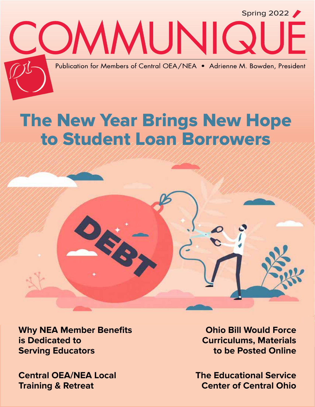

# The New Year Brings New Hope to Student Loan Borrowers



**Why NEA Member Benefits is Dedicated to Serving Educators**

**Central OEA/NEA Local Training & Retreat**

**Ohio Bill Would Force Curriculums, Materials to be Posted Online**

**The Educational Service Center of Central Ohio**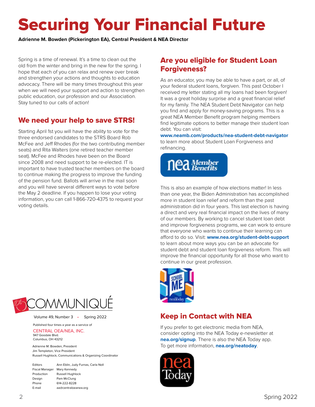# Securing Your Financial Future

**Adrienne M. Bowden (Pickerington EA), Central President & NEA Director**

Spring is a time of renewal. It's a time to clean out the old from the winter and bring in the new for the spring. I hope that each of you can relax and renew over break and strengthen your actions and thoughts to education advocacy. There will be many times throughout this year when we will need your support and action to strengthen public education, our profession and our Association. Stay tuned to our calls of action!

## We need your help to save STRS!

Starting April 1st you will have the ability to vote for the three endorsed candidates to the STRS Board Rob McFee and Jeff Rhodes (for the two contributing member seats) and Rita Walters (one retired teacher member seat). McFee and Rhodes have been on the Board since 2008 and need support to be re-elected. IT is important to have trusted teacher members on the board to continue making the progress to improve the funding of the pension fund. Ballots will arrive in the mail soon and you will have several different ways to vote before the May 2 deadline. If you happen to lose your voting information, you can call 1-866-720-4375 to request your voting details.



As an educator, you may be able to have a part, or all, of your federal student loans, forgiven. This past October I received my letter stating all my loans had been forgiven! It was a great holiday surprise and a great financial relief for my family. The NEA Student Debt Navigator can help you find and apply for money-saving programs. This is a great NEA Member Benefit program helping members find legitimate options to better manage their student loan debt. You can visit:

**www.neamb.com/products/nea-student-debt-navigator** to learn more about Student Loan Forgiveness and refinancing.



This is also an example of how elections matter! In less than one year, the Biden Administration has accomplished more in student loan relief and reform than the past administration did in four years. This last election is having a direct and very real financial impact on the lives of many of our members. By working to cancel student loan debt and improve forgiveness programs, we can work to ensure that everyone who wants to continue their learning can afford to do so. Visit: **www.nea.org/student-debt-support** to learn about more ways you can be an advocate for student debt and student loan forgiveness reform. This will improve the financial opportunity for all those who want to continue in our great profession.



## Keep in Contact with NEA

If you prefer to get electronic media from NEA, consider opting into the NEA Today e-newsletter at **nea.org/signup**. There is also the NEA Today app. To get more information, **nea.org/neatoday**.







Volume 49, Number 3 • Spring 2022

Published four times a year as a service of CENTRAL OEA/NEA, INC. 947 Goodale Blvd.

Columbus, OH 43212

Adrienne M. Bowden, President

Jim Templeton, Vice President Russell Hughlock, Communications & Organizing Coordinator

| Editors               | Ann Eblin, Judy Furnas, Carla Noll |
|-----------------------|------------------------------------|
| <b>Fiscal Manager</b> | Mary Kennedy                       |
| Production            | <b>Russell Hughlock</b>            |
| Design                | Pam McClung                        |
| Phone                 | 614-222-8228                       |
| E-mail                | aa@centraloeanea.org               |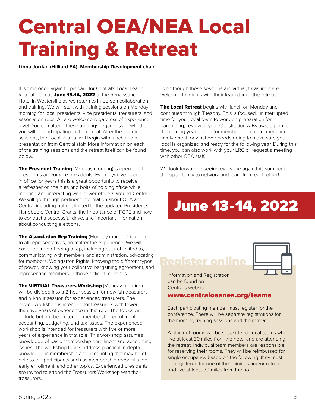# Central OEA/NEA Local Training & Retreat

**Linna Jordan (Hilliard EA), Membership Development chair**

It is time once again to prepare for Central's Local Leader Retreat. Join us June 13-14, 2022 at the Renaissance Hotel in Westerville as we return to in-person collaboration and training. We will start with training sessions on Monday morning for local presidents, vice presidents, treasurers, and association reps. All are welcome regardless of experience level. You can attend these trainings regardless of whether you will be participating in the retreat. After the morning sessions, the Local Retreat will begin with lunch and a presentation from Central staff. More information on each of the training sessions and the retreat itself can be found below.

The President Training (Monday morning) is open to all presidents and/or vice presidents. Even if you've been in office for years this is a great opportunity to receive a refresher on the nuts and bolts of holding office while meeting and interacting with newer officers around Central. We will go through pertinent information about OEA and Central including but not limited to the updated President's Handbook, Central Grants, the importance of FCPE and how to conduct a successful drive, and important information about conducting elections.

The Association Rep Training (Monday morning) is open to all representatives, no matter the experience. We will cover the role of being a rep, including but not limited to, communicating with members and administration, advocating for members, Weingarten Rights, knowing the different types of power, knowing your collective bargaining agreement, and representing members in those difficult meetings.

**The VIRTUAL Treasurers Workshop (Monday morning)** will be divided into a 2-hour session for new-ish treasurers and a 1-hour session for experienced treasurers. The novice workshop is intended for treasurers with fewer than five years of experience in that role. The topics will include but not be limited to, membership enrollment, accounting, budgeting, and tax issues. The experienced workshop is intended for treasurers with five or more years of experience in that role. This workshop assumes knowledge of basic membership enrollment and accounting issues. The workshop topics address practical in-depth knowledge in membership and accounting that may be of help to the participants such as membership reconciliation, early enrollment, and other topics. Experienced presidents are invited to attend the Treasurers Workshop with their treasurers.

Even though these sessions are virtual, treasurers are welcome to join us with their team during the retreat.

The Local Retreat begins with lunch on Monday and continues through Tuesday. This is focused, uninterrupted time for your local team to work on preparation for bargaining; review of your Constitution & Bylaws; a plan for the coming year; a plan for membership commitment and involvement; or whatever needs doing to make sure your local is organized and ready for the following year. During this time, you can also work with your LRC or request a meeting with other OEA staff.

We look forward to seeing everyone again this summer for the opportunity to network and learn from each other!

# June 13-14, 2022

## Register online



Information and Registration can be found on Central's website:

### www.centraloeanea.org/teams

Each participating member must register for the conference. There will be separate registrations for the morning training sessions and the retreat.

A block of rooms will be set aside for local teams who live at least 30 miles from the hotel and are attending the retreat. Individual team members are responsible for reserving their rooms. They will be reimbursed for single occupancy based on the following: they must be registered for one of the trainings and/or retreat and live at least 30 miles from the hotel.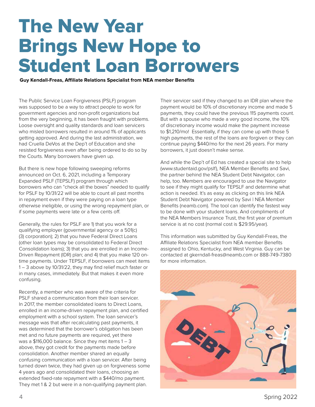# The New Year Brings New Hope to Student Loan Borrowers

**Guy Kendall-Freas, Affiliate Relations Specialist from NEA member Benefits**

The Public Service Loan Forgiveness (PSLF) program was supposed to be a way to attract people to work for government agencies and non-profit organizations but from the very beginning, it has been fraught with problems. Loose oversight and quality standards and loan servicers who misled borrowers resulted in around 1% of applicants getting approved. And during the last administration, we had Cruella DeVos at the Dep't of Education and she resisted forgiveness even after being ordered to do so by the Courts. Many borrowers have given up.

But there is new hope following sweeping reforms announced on Oct. 6, 2021, including a Temporary Expanded PSLF (TEPSLF) program through which borrowers who can "check all the boxes" needed to qualify for PSLF by 10/31/22 will be able to count all past months in repayment even if they were paying on a loan type otherwise ineligible, or using the wrong repayment plan, or if some payments were late or a few cents off.

Generally, the rules for PSLF are 1) that you work for a qualifying employer (governmental agency or a 501(c) (3) corporation); 2) that you have Federal Direct Loans (other loan types may be consolidated to Federal Direct Consolidation loans); 3) that you are enrolled in an Income-Driven Repayment (IDR) plan; and 4) that you make 120 ontime payments. Under TEPSLF, if borrowers can meet items 1 – 3 above by 10/31/22, they may find relief much faster or in many cases, immediately. But that makes it even more confusing.

Recently, a member who was aware of the criteria for PSLF shared a communication from their loan servicer. In 2017, the member consolidated loans to Direct Loans, enrolled in an income-driven repayment plan, and certified employment with a school system. The loan servicer's message was that after recalculating past payments, it was determined that the borrower's obligation has been met and no future payments are required, yet there was a  $$116,000$  balance. Since they met items  $1 - 3$ above, they got credit for the payments made before consolidation. Another member shared an equally confusing communication with a loan servicer. After being turned down twice, they had given up on forgiveness some 4 years ago and consolidated their loans, choosing an extended fixed-rate repayment with a \$440/mo payment. They met 1 & 2 but were in a non-qualifying payment plan.

Their servicer said if they changed to an IDR plan where the payment would be 10% of discretionary income and made 5 payments, they could have the previous 115 payments count. But with a spouse who made a very good income, the 10% of discretionary income would make the payment increase to \$1,210/mo! Essentially, if they can come up with those 5 high payments, the rest of the loans are forgiven or they can continue paying \$440/mo for the next 26 years. For many borrowers, it just doesn't make sense.

And while the Dep't of Ed has created a special site to help (www.studentaid.gov/pslf), NEA Member Benefits and Savi, the partner behind the NEA Student Debt Navigator, can help, too. Members are encouraged to use the Navigator to see if they might qualify for TEPSLF and determine what action is needed. It's as easy as clicking on this link NEA Student Debt Navigator powered by Savi | NEA Member Benefits (neamb.com). The tool can identify the fastest way to be done with your student loans. And compliments of the NEA Members Insurance Trust, the first year of premium service is at no cost (normal cost is \$29.95/year).

This information was submitted by Guy Kendall-Freas, the Affiliate Relations Specialist from NEA member Benefits assigned to Ohio, Kentucky, and West Virginia. Guy can be contacted at gkerndall-freas@neamb.com or 888-749-7380 for more information.

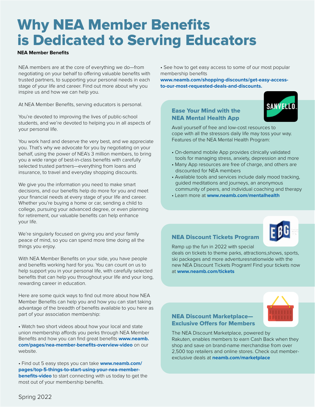# Why NEA Member Benefits is Dedicated to Serving Educators

### **NEA Member Benefits**

NEA members are at the core of everything we do—from negotiating on your behalf to offering valuable benefits with trusted partners, to supporting your personal needs in each stage of your life and career. Find out more about why you inspire us and how we can help you.

At NEA Member Benefits, serving educators is personal.

You're devoted to improving the lives of public-school students, and we're devoted to helping you in all aspects of your personal life.

You work hard and deserve the very best, and we appreciate you. That's why we advocate for you by negotiating on your behalf, using the power of NEA's 3 million members, to bring you a wide range of best-in-class benefits with carefully selected trusted partners—everything from loans and insurance, to travel and everyday shopping discounts.

We give you the information you need to make smart decisions, and our benefits help do more for you and meet your financial needs at every stage of your life and career. Whether you're buying a home or car, sending a child to college, pursuing your advanced degree, or even planning for retirement, our valuable benefits can help enhance your life.

We're singularly focused on giving you and your family peace of mind, so you can spend more time doing all the things you enjoy.

With NEA Member Benefits on your side, you have people and benefits working hard for you. You can count on us to help support you in your personal life, with carefully selected benefits that can help you throughout your life and your long, rewarding career in education.

Here are some quick ways to find out more about how NEA Member Benefits can help you and how you can start taking advantage of the breadth of benefits available to you here as part of your association membership:

• Watch two short videos about how your local and state union membership affords you perks through NEA Member Benefits and how you can find great benefits **www.neamb. com/pages/nea-member-benefits-overview-video** on our website.

• Find out 5 easy steps you can take **www.neamb.com/ pages/top-5-things-to-start-using-your-nea-memberbenefits-video** to start connecting with us today to get the most out of your membership benefits.

• See how to get easy access to some of our most popular membership benefits

**www.neamb.com/shopping-discounts/get-easy-accessto-our-most-requested-deals-and-discounts.**

### Ease Your Mind with the NEA Mental Health App



Avail yourself of free and low-cost resources to cope with all the stressors daily life may toss your way. Features of the NEA Mental Health Program:

- On-demand mobile App provides clinically validated tools for managing stress, anxiety, depression and more
- Many App resources are free of charge, and others are discounted for NEA members
- Available tools and services include daily mood tracking, guided meditations and journeys, an anonymous community of peers, and individual coaching and therapy
- Learn more at **www.neamb.com/mentalhealth**

### NEA Discount Tickets Program

Ramp up the fun in 2022 with special deals on tickets to theme parks, attractions,shows, sports, ski packages and more adventuresnationwide with the new NEA Discount Tickets Program! Find your tickets now at **www.neamb.com/tickets**

### NEA Discount Marketplace— Exclusive Offers for Members

The NEA Discount Marketplace, powered by Rakuten, enables members to earn Cash Back when they shop and save on brand-name merchandise from over 2,500 top retailers and online stores. Check out memberexclusive deals at **neamb.com/marketplace**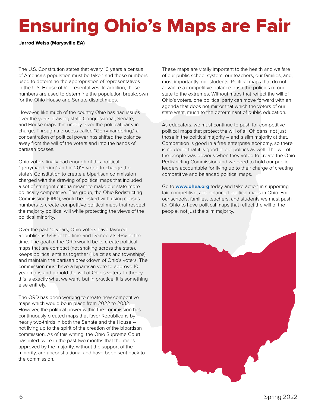# Ensuring Ohio's Maps are Fair

**Jarrod Weiss (Marysville EA)**

The U.S. Constitution states that every 10 years a census of America's population must be taken and those numbers used to determine the appropriation of representatives in the U.S. House of Representatives. In addition, those numbers are used to determine the population breakdown for the Ohio House and Senate district maps.

However, like much of the country Ohio has had issues over the years drawing state Congressional, Senate, and House maps that unduly favor the political party in charge. Through a process called "Gerrymandering," a concentration of political power has shifted the balance away from the will of the voters and into the hands of partisan bosses.

Ohio voters finally had enough of this political "gerrymandering" and in 2015 voted to change the state's Constitution to create a bipartisan commission charged with the drawing of political maps that included a set of stringent criteria meant to make our state more politically competitive. This group, the Ohio Redistricting Commission (ORD), would be tasked with using census numbers to create competitive political maps that respect the majority political will while protecting the views of the political minority.

Over the past 10 years, Ohio voters have favored Republicans 54% of the time and Democrats 46% of the time. The goal of the ORD would be to create political maps that are compact (not snaking across the state), keeps political entities together (like cities and townships), and maintain the partisan breakdown of Ohio's voters. The commission must have a bipartisan vote to approve 10 year maps and uphold the will of Ohio's voters. In theory, this is exactly what we want, but in practice, it is something else entirely.

The ORD has been working to create new competitive maps which would be in place from 2022 to 2032. However, the political power within the commission has continuously created maps that favor Republicans by nearly two-thirds in both the Senate and the House - not living up to the spirit of the creation of the bipartisan commission. As of this writing, the Ohio Supreme Court has ruled twice in the past two months that the maps approved by the majority, without the support of the minority, are unconstitutional and have been sent back to the commission.

These maps are vitally important to the health and welfare of our public school system, our teachers, our families, and, most importantly, our students. Political maps that do not advance a competitive balance push the policies of our state to the extremes. Without maps that reflect the will of Ohio's voters, one political party can move forward with an agenda that does not mirror that which the voters of our state want, much to the determinant of public education.

As educators, we must continue to push for competitive political maps that protect the will of all Ohioans, not just those in the political majority -- and a slim majority at that. Competition is good in a free enterprise economy, so there is no doubt that it is good in our politics as well. The will of the people was obvious when they voted to create the Ohio Redistricting Commission and we need to hold our public leaders accountable for living up to their charge of creating competitive and balanced political maps.

Go to **www.ohea.org** today and take action in supporting fair, competitive, and balanced political maps in Ohio. For our schools, families, teachers, and students we must push for Ohio to have political maps that reflect the will of the people, not just the slim majority.

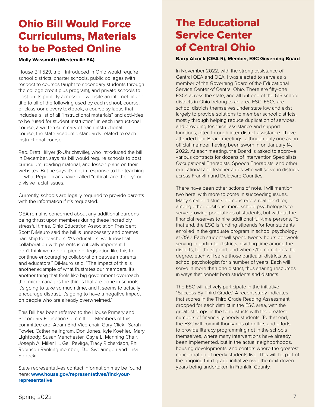## Ohio Bill Would Force Curriculums, Materials to be Posted Online

### **Molly Wassmuth (Westerville EA)**

House Bill 529, a bill introduced in Ohio would require school districts, charter schools, public colleges (with respect to courses taught to secondary students through the college credit plus program), and private schools to post on its publicly accessible website an internet link or title to all of the following used by each school, course, or classroom: every textbook, a course syllabus that includes a list of all "instructional materials" and activities to be "used for student instruction" in each instructional course, a written summary of each instructional course, the state academic standards related to each instructional course.

Rep. Brett Hillyer (R-Uhrichsville), who introduced the bill in December, says his bill would require schools to post curriculum, reading material, and lesson plans on their websites. But he says it's not in response to the teaching of what Republicans have called "critical race theory" or divisive racial issues.

Currently, schools are legally required to provide parents with the information if it's requested.

OEA remains concerned about any additional burdens being thrust upon members during these incredibly stressful times. Ohio Education Association President Scott DiMauro said the bill is unnecessary and creates hardship for teachers. "As educators, we know that collaboration with parents is critically important. I don't think we need a piece of legislation like this to continue encouraging collaboration between parents and educators," DiMauro said. "The impact of this is another example of what frustrates our members. It's another thing that feels like big government overreach that micromanages the things that are done in schools. It's going to take so much time, and it seems to actually encourage distrust. It's going to have a negative impact on people who are already overwhelmed."

This Bill has been referred to the House Primary and Secondary Education Committee. Members of this committee are Adam Bird Vice-chair, Gary Click, Sarah Fowler, Catherine Ingram, Don Jones, Kyle Koehler, Mary Lightbody, Susan Manchester, Gayle L. Manning Chair, Joseph A. Miller III., Gail Pavliga, Tracy Richardson, Phil Robinson Ranking member, D.J. Swearingen and Lisa Sobecki.

State representatives contact information may be found here: **www.house.gov/representatives/find-yourrepresentative**

## The Educational Service Center of Central Ohio

### **Barry Alcock (OEA-R), Member, ESC Governing Board**

In November 2022, with the strong assistance of Central OEA and OEA, I was elected to serve as a member of the Governing Board of the Educational Service Center of Central Ohio. There are fifty-one ESCs across the state, and all but one of the 615 school districts in Ohio belong to an area ESC. ESCs are school districts themselves under state law and exist largely to provide solutions to member school districts, mostly through helping reduce duplication of services, and providing technical assistance and support functions, often through inter-district assistance. I have attended four Board meetings, although only one as an official member, having been sworn in on January 14, 2022. At each meeting, the Board is asked to approve various contracts for dozens of Intervention Specialists, Occupational Therapists, Speech Therapists, and other educational and teacher aides who will serve in districts across Franklin and Delaware Counties.

There have been other actions of note. I will mention two here, with more to come in succeeding issues. Many smaller districts demonstrate a real need for, among other positions, more school psychologists to serve growing populations of students, but without the financial reserves to hire additional full-time persons. To that end, the ESC is funding stipends for four students enrolled in the graduate program in school psychology at OSU. Each student will spend twenty hours per week serving in particular districts, dividing time among the districts, for the stipend, and when s/he completes the degree, each will serve those particular districts as a school psychologist for a number of years. Each will serve in more than one district, thus sharing resources in ways that benefit both students and districts.

The ESC will actively participate in the initiative "Success By Third Grade." A recent study indicates that scores in the Third Grade Reading Assessment dropped for each district in the ESC area, with the greatest drops in the ten districts with the greatest numbers of financially needy students. To that end, the ESC will commit thousands of dollars and efforts to provide literacy programming not in the schools themselves, where many interventions have already been implemented, but in the actual neighborhoods, housing developments, and centers where the greatest concentration of needy students live. This will be part of the ongoing third-grade initiative over the next dozen years being undertaken in Franklin County.